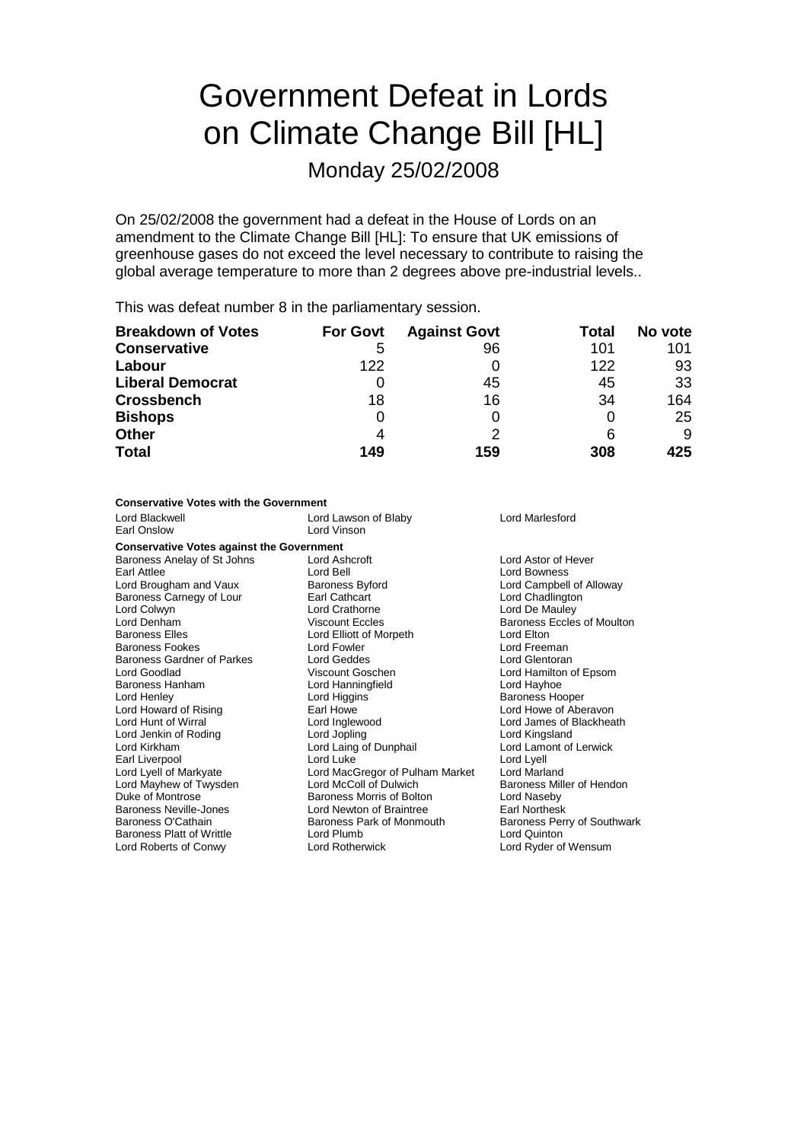# Government Defeat in Lords on Climate Change Bill [HL]

Monday 25/02/2008

On 25/02/2008 the government had a defeat in the House of Lords on an amendment to the Climate Change Bill [HL]: To ensure that UK emissions of greenhouse gases do not exceed the level necessary to contribute to raising the global average temperature to more than 2 degrees above pre-industrial levels..

This was defeat number 8 in the parliamentary session.

| <b>Breakdown of Votes</b> | <b>For Govt</b> | <b>Against Govt</b> | Total | No vote |
|---------------------------|-----------------|---------------------|-------|---------|
| <b>Conservative</b>       | 5               | 96                  | 101   | 101     |
| Labour                    | 122             |                     | 122   | 93      |
| <b>Liberal Democrat</b>   |                 | 45                  | 45    | 33      |
| <b>Crossbench</b>         | 18              | 16                  | 34    | 164     |
| <b>Bishops</b>            | 0               | 0                   |       | 25      |
| <b>Other</b>              |                 |                     | 6     | 9       |
| <b>Total</b>              | 149             | 159                 | 308   | 425     |

### **Conservative Votes with the Government**

| Lord Blackwell<br>Earl Onslow                                                                                                                                                                                                                                                                                                                                                                                                                                                                        | Lord Lawson of Blaby<br>Lord Vinson                                                                                                                                                                                                                                                                                                                                                                                                                                                 | Lord Marlesford                                                                                                                                                                                                                                                                                                                                                                                                                                                                                 |  |
|------------------------------------------------------------------------------------------------------------------------------------------------------------------------------------------------------------------------------------------------------------------------------------------------------------------------------------------------------------------------------------------------------------------------------------------------------------------------------------------------------|-------------------------------------------------------------------------------------------------------------------------------------------------------------------------------------------------------------------------------------------------------------------------------------------------------------------------------------------------------------------------------------------------------------------------------------------------------------------------------------|-------------------------------------------------------------------------------------------------------------------------------------------------------------------------------------------------------------------------------------------------------------------------------------------------------------------------------------------------------------------------------------------------------------------------------------------------------------------------------------------------|--|
| <b>Conservative Votes against the Government</b>                                                                                                                                                                                                                                                                                                                                                                                                                                                     |                                                                                                                                                                                                                                                                                                                                                                                                                                                                                     |                                                                                                                                                                                                                                                                                                                                                                                                                                                                                                 |  |
| Baroness Anelay of St Johns<br>Earl Attlee<br>Lord Brougham and Vaux<br>Baroness Carnegy of Lour<br>Lord Colwyn<br>Lord Denham<br><b>Baroness Elles</b><br>Baroness Fookes<br><b>Baroness Gardner of Parkes</b><br>Lord Goodlad<br>Baroness Hanham<br>Lord Henley<br>Lord Howard of Rising<br>Lord Hunt of Wirral<br>Lord Jenkin of Roding<br>Lord Kirkham<br>Earl Liverpool<br>Lord Lyell of Markyate<br>Lord Mayhew of Twysden<br>Duke of Montrose<br>Baroness Neville-Jones<br>Baroness O'Cathain | Lord Ashcroft<br>Lord Bell<br><b>Baroness Byford</b><br>Earl Cathcart<br><b>Lord Crathorne</b><br><b>Viscount Eccles</b><br>Lord Elliott of Morpeth<br>Lord Fowler<br>Lord Geddes<br>Viscount Goschen<br>Lord Hanningfield<br>Lord Higgins<br>Earl Howe<br>Lord Inglewood<br>Lord Jopling<br>Lord Laing of Dunphail<br>Lord Luke<br>Lord MacGregor of Pulham Market<br>Lord McColl of Dulwich<br>Baroness Morris of Bolton<br>Lord Newton of Braintree<br>Baroness Park of Monmouth | Lord Astor of Hever<br><b>Lord Bowness</b><br>Lord Campbell of Alloway<br>Lord Chadlington<br>Lord De Mauley<br>Baroness Eccles of Moulton<br>Lord Elton<br>Lord Freeman<br>Lord Glentoran<br>Lord Hamilton of Epsom<br>Lord Hayhoe<br><b>Baroness Hooper</b><br>Lord Howe of Aberavon<br>Lord James of Blackheath<br>Lord Kingsland<br>Lord Lamont of Lerwick<br>Lord Lyell<br>Lord Marland<br>Baroness Miller of Hendon<br>Lord Naseby<br><b>Earl Northesk</b><br>Baroness Perry of Southwark |  |
| <b>Baroness Platt of Writtle</b>                                                                                                                                                                                                                                                                                                                                                                                                                                                                     | Lord Plumb                                                                                                                                                                                                                                                                                                                                                                                                                                                                          | Lord Quinton                                                                                                                                                                                                                                                                                                                                                                                                                                                                                    |  |
| Lord Roberts of Conwy                                                                                                                                                                                                                                                                                                                                                                                                                                                                                | <b>Lord Rotherwick</b>                                                                                                                                                                                                                                                                                                                                                                                                                                                              | Lord Ryder of Wensum                                                                                                                                                                                                                                                                                                                                                                                                                                                                            |  |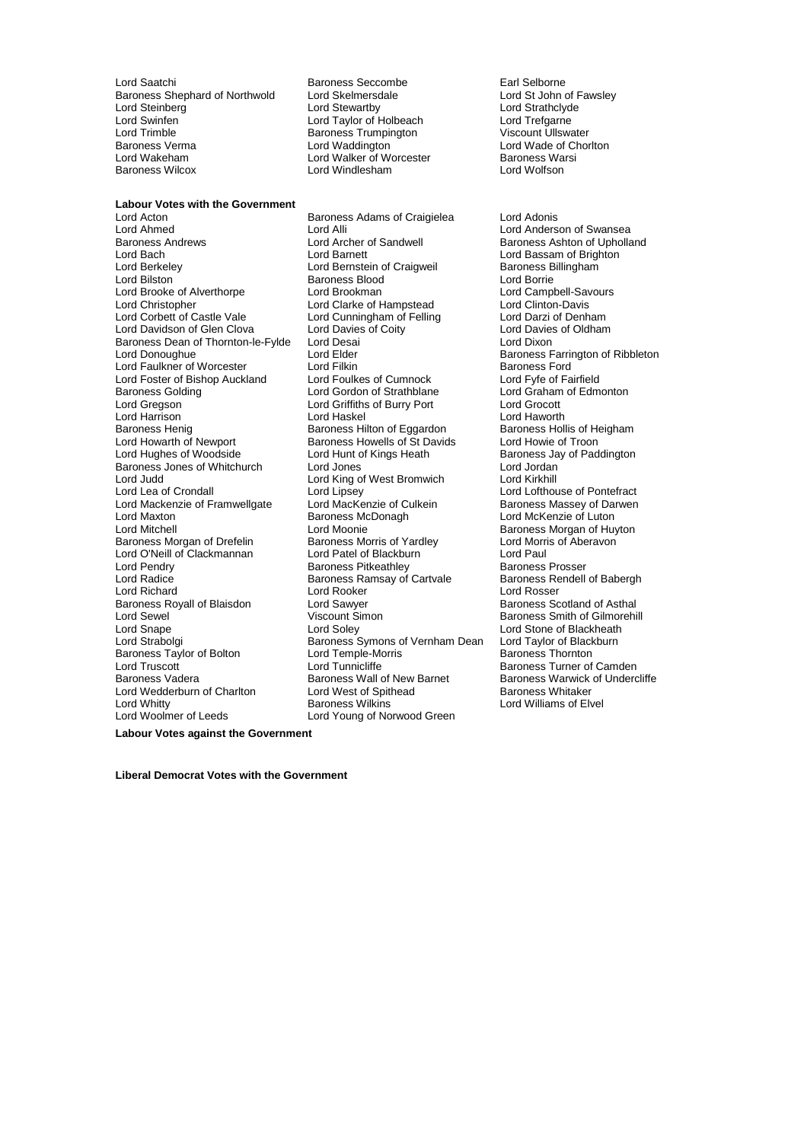Lord Saatchi **Baroness Seccombe**<br>
Baroness Shephard of Northwold Lord Skelmersdale<br>
Lord St John of Fawsley Baroness Shephard of Northwold Lord Skelmersdale Lord Steven Lord St John of F<br>
Lord Stewartby Cord Strath Lord Strathclyde Lord Steinberg Lord Stewartby Lord Strathclyde Lord Swinfen Lord Taylor of Holbeach Lord Trefgarne Lord Trimble **Communist Communist Communist Communist Communist Communist Communist Communist Communist Communist Communist Communist Communist Communist Communist Communist Communist Communist Communist Communist Communis Baroness Verma** Lord Waddington Lord Wade of Chorlton Lord Wakeham Lord Walker of Worcester Baroness Warsi Lord Wakeham Lord Walker of Worcester<br>
Baroness Wilcox<br>
Baroness Wilcox

Lord Windlesham Lord Wolfson

**Labour Votes with the Government** Lord Ahmed Lord Alli Lord Alli Lord Anderson of Swansea<br>Baroness Andrews Lord Archer of Sandwell Baroness Ashton of Upholla Lord Bach Lord Barnett Lord Bassam of Brighton<br>
Lord Berkeley Cord Bernstein of Craigweil Baroness Billingham Lord Berkeley **Lord Bernstein of Craigweil** Baroness B<br>
Lord Bilston **Baroness Blood** Baroness Blood Lord Brooke of Alverthorpe Lord Brookman and Lord Brookman Lord Campbell-Savours Cord Campbell-Savours Lord Clinton-Davis Lord Christopher **Lord Clarke of Hampstead** Lord Clinton-Davis<br>
Lord Corbett of Castle Vale Lord Cunningham of Felling Lord Darzi of Denham Lord Davidson of Glen Clova Baroness Dean of Thornton-le-Fylde Lord Desai **Lord Dixon**<br>
Lord Dornoughue Lord Elder
Lord Dornoughue Lord Elder
Lord Dornoughue Lord Elder
Lord Dornoughue Baroness F Lord Faulkner of Worcester Lord Filkin Lord Filkin Baroness Ford<br>
Lord Foster of Bishop Auckland Lord Foulkes of Cumnock Lord Fyfe of Fairfield Lord Foster of Bishop Auckland Lord Foulkes of Cumnock Lord Fyfe of Fairfield Baroness Golding **Collect Contract Conduct Conduct Conduct** Lord Graham Lord Graham Cord Craham Lord Graham Cord<br>
Lord Gregson Cord Cord Graham Cord Griffiths of Burry Port Cord Grocott Lord Gregson **Lord Griffiths of Burry Port**<br>
Lord Haskel<br>
Lord Haskel Baroness Henig Baroness Hilton of Eggardon Baroness Hollis of Heigham Baroness Hollis of Heigham Baroness Howells of St Davids Lord Howie of Troon Lord Howarth of Newport Baroness Howells of St Davids<br>
Lord Hughes of Woodside Lord Hunt of Kings Heath Baroness Jones of Whitchurch Lord Jones Control Lord Jordan Lord Judd Lord King of West Bromwich Lord Kirkhill Lord Mackenzie of Framwellgate Lord MacKenzie of Cultus<br>Lord Maxton Baroness McDonagh Lord Maxton **Lord Maxton Baroness McDonagh** Lord McKenzie of Luton<br>
Lord Mitchell **Container Container Container Container Container Container Baroness Morgan of Human** Baroness Morgan of Drefelin Baroness Morris of Yardley Cord Morris Lord Morris of Yardley Cord Paul<br>Lord O'Neill of Clackmannan Lord Patel of Blackburn Lord Paul Lord O'Neill of Clackmannan Lord Pendry **Community Communist Baroness Prosser Baroness Prosser**<br>
Baroness Rental Baroness Ramsay of Cartvale<br>
Baroness Rendell of Babergh Lord Richard Corporation Lord Rooker Corporation Corporation Corporation Corporation Corporation Corporation C<br>
Lord Sample Corporation Corporation Lord Sawyer Corporation Corporation Baroness Scotland of Asthal Baroness Royall of Blaisdon Lord Sawyer<br>
Lord Sewel Cord Scount Simon Lord Sewel **Consumersion Community** Viscount Simon Corress Smith of Gilmorehill Lord Shape Corress Consumersian<br>
Lord Shape Corress Correspondent Correspondent Correspondent Correspondent Correspondent Correspondent Corres Lord Snape Lord Soley Lord Soley Lord Stone of Blackheath<br>Lord Strabolgi Cord Strabolgi Baroness Symons of Vernham Dean Lord Taylor of Blackburn Baroness Taylor of Bolton **Lord Temple-Morris** Corporation Baroness Thornton Lord Truscott Corporation Corporatio<br>
Lord Truscott Lord Tunnicliffe **Baroness Turner** of Lord Truscott **Lord Truscott** Lord Tunnicliffe **Baroness Turner of Camden**<br>Baroness Vadera Baroness Wall of New Barnet Baroness Warwick of Underg Lord Wedderburn of Charlton Lord West of Spithead Baroness Wilkins Lord Woolmer of Leeds Lord Young of Norwood Green

Lord Acton Baroness Adams of Craigielea Lord Adonis Baroness Blood  $\overline{\phantom{a}}$  Lord Borrie  $\overline{\phantom{a}}$  Lord Borrie  $\overline{\phantom{a}}$ Lord Cunningham of Felling Lord Darzi of Denham<br>
Lord Davies of Coity Lord Davies of Oldham Lord Elder **Conoughue Lord Baroness Farrington of Ribbleton**<br>
Baroness Ford<br>
Baroness Ford Lord Lipsey<br>
Lord Lofthouse of Pontefract<br>
Lord MacKenzie of Culkein<br>
Baroness Massey of Darwen Lord Moonie <sup>V</sup><br>
Baroness Morris of Yardlev **Baroness Morgan of Huyton**<br>
Lord Morris of Aberavon Baroness Ramsay of Cartvale Baroness Rendell Baroness Rendell Baroness Rendell Baroness Rendell Baroness Rendell Baroness Rendell Baroness Rendell Baroness Rendell Baroness Rendell Baroness Rendell Baroness Rendell Barones Baroness Symons of Vernham Dean Lord Taylor of Blackburn<br>Lord Temple-Morris **Baroness Thornton** Baroness Wall of New Barnet Baroness Warwick of Undercliffe<br>
Lord West of Spithead Baroness Whitaker

Baroness Ashton of Upholland Lord Haworth<br>Baroness Hollis of Heigham Baroness Jay of Paddington Lord Williams of Elvel

**Labour Votes against the Government**

**Liberal Democrat Votes with the Government**